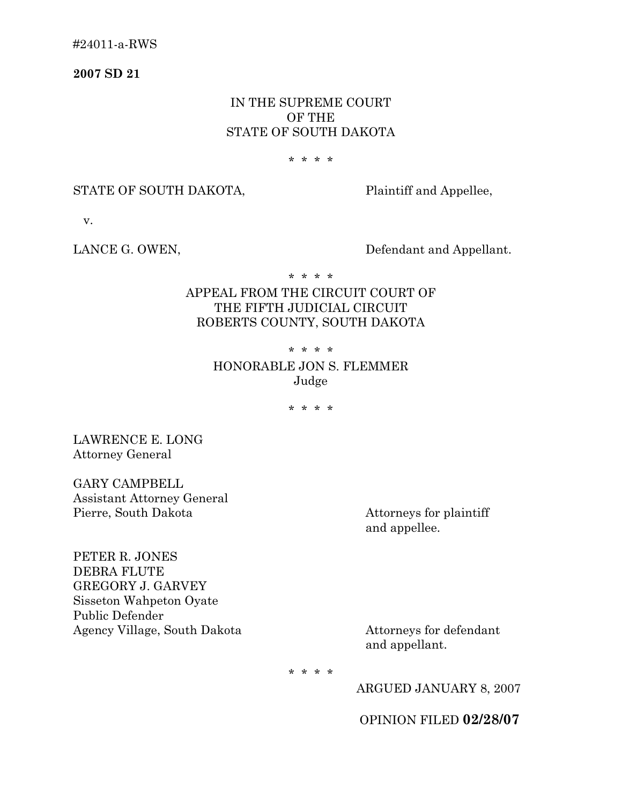**2007 SD 21** 

## IN THE SUPREME COURT OF THE STATE OF SOUTH DAKOTA

#### \* \* \* \*

### STATE OF SOUTH DAKOTA, Plaintiff and Appellee,

v.

LANCE G. OWEN, Defendant and Appellant.

\* \* \* \*

# APPEAL FROM THE CIRCUIT COURT OF THE FIFTH JUDICIAL CIRCUIT ROBERTS COUNTY, SOUTH DAKOTA

### \* \* \* \*

## HONORABLE JON S. FLEMMER Judge

\* \* \* \*

LAWRENCE E. LONG Attorney General

GARY CAMPBELL Assistant Attorney General Pierre, South Dakota Attorneys for plaintiff

and appellee.

PETER R. JONES DEBRA FLUTE GREGORY J. GARVEY Sisseton Wahpeton Oyate Public Defender Agency Village, South Dakota Attorneys for defendant

and appellant.

\* \* \* \*

ARGUED JANUARY 8, 2007

OPINION FILED **02/28/07**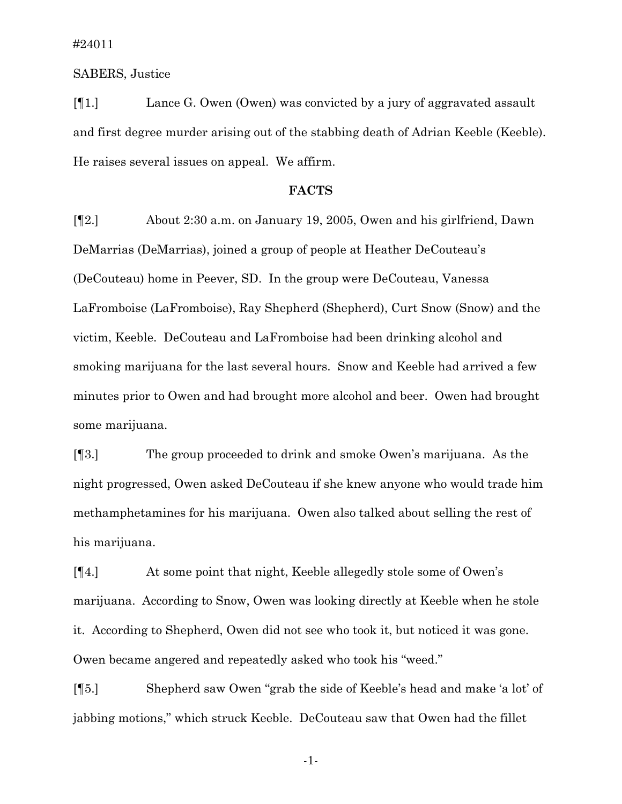SABERS, Justice

[¶1.] Lance G. Owen (Owen) was convicted by a jury of aggravated assault and first degree murder arising out of the stabbing death of Adrian Keeble (Keeble). He raises several issues on appeal. We affirm.

### **FACTS**

[¶2.] About 2:30 a.m. on January 19, 2005, Owen and his girlfriend, Dawn DeMarrias (DeMarrias), joined a group of people at Heather DeCouteau's (DeCouteau) home in Peever, SD. In the group were DeCouteau, Vanessa LaFromboise (LaFromboise), Ray Shepherd (Shepherd), Curt Snow (Snow) and the victim, Keeble. DeCouteau and LaFromboise had been drinking alcohol and smoking marijuana for the last several hours. Snow and Keeble had arrived a few minutes prior to Owen and had brought more alcohol and beer. Owen had brought some marijuana.

[¶3.] The group proceeded to drink and smoke Owen's marijuana. As the night progressed, Owen asked DeCouteau if she knew anyone who would trade him methamphetamines for his marijuana. Owen also talked about selling the rest of his marijuana.

[¶4.] At some point that night, Keeble allegedly stole some of Owen's marijuana. According to Snow, Owen was looking directly at Keeble when he stole it. According to Shepherd, Owen did not see who took it, but noticed it was gone. Owen became angered and repeatedly asked who took his "weed."

[¶5.] Shepherd saw Owen "grab the side of Keeble's head and make 'a lot' of jabbing motions," which struck Keeble. DeCouteau saw that Owen had the fillet

-1-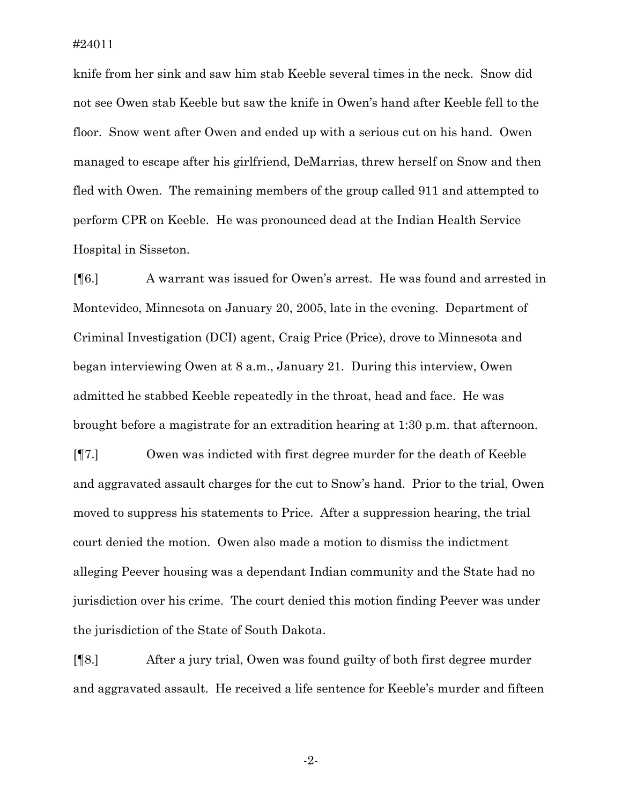knife from her sink and saw him stab Keeble several times in the neck. Snow did not see Owen stab Keeble but saw the knife in Owen's hand after Keeble fell to the floor. Snow went after Owen and ended up with a serious cut on his hand. Owen managed to escape after his girlfriend, DeMarrias, threw herself on Snow and then fled with Owen. The remaining members of the group called 911 and attempted to perform CPR on Keeble. He was pronounced dead at the Indian Health Service Hospital in Sisseton.

[¶6.] A warrant was issued for Owen's arrest. He was found and arrested in Montevideo, Minnesota on January 20, 2005, late in the evening. Department of Criminal Investigation (DCI) agent, Craig Price (Price), drove to Minnesota and began interviewing Owen at 8 a.m., January 21. During this interview, Owen admitted he stabbed Keeble repeatedly in the throat, head and face. He was brought before a magistrate for an extradition hearing at 1:30 p.m. that afternoon.

[¶7.] Owen was indicted with first degree murder for the death of Keeble and aggravated assault charges for the cut to Snow's hand. Prior to the trial, Owen moved to suppress his statements to Price. After a suppression hearing, the trial court denied the motion. Owen also made a motion to dismiss the indictment alleging Peever housing was a dependant Indian community and the State had no jurisdiction over his crime. The court denied this motion finding Peever was under the jurisdiction of the State of South Dakota.

[¶8.] After a jury trial, Owen was found guilty of both first degree murder and aggravated assault. He received a life sentence for Keeble's murder and fifteen

-2-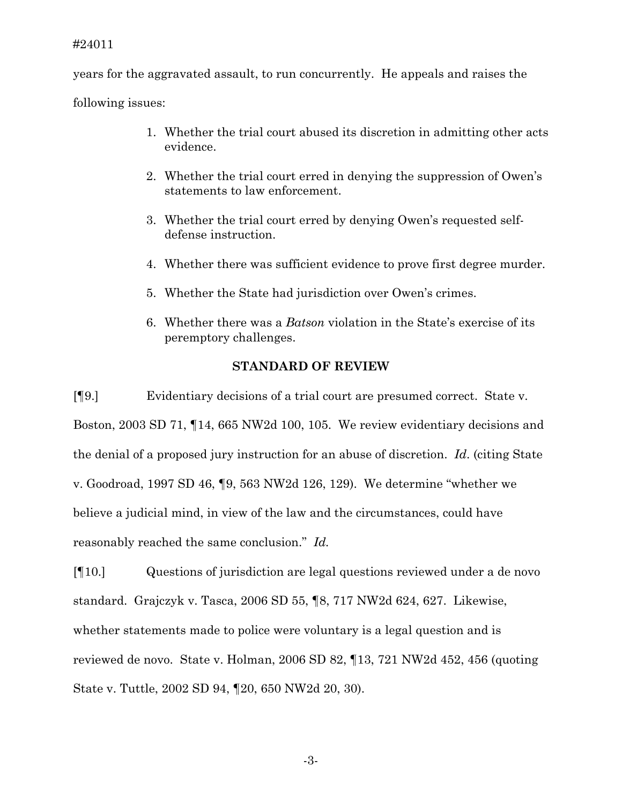years for the aggravated assault, to run concurrently. He appeals and raises the

following issues:

- 1. Whether the trial court abused its discretion in admitting other acts evidence.
- 2. Whether the trial court erred in denying the suppression of Owen's statements to law enforcement.
- 3. Whether the trial court erred by denying Owen's requested selfdefense instruction.
- 4. Whether there was sufficient evidence to prove first degree murder.
- 5. Whether the State had jurisdiction over Owen's crimes.
- 6. Whether there was a *Batson* violation in the State's exercise of its peremptory challenges.

### **STANDARD OF REVIEW**

[¶9.] Evidentiary decisions of a trial court are presumed correct. State v. Boston, 2003 SD 71, ¶14, 665 NW2d 100, 105. We review evidentiary decisions and the denial of a proposed jury instruction for an abuse of discretion. *Id*. (citing State v. Goodroad, 1997 SD 46, ¶9, 563 NW2d 126, 129). We determine "whether we believe a judicial mind, in view of the law and the circumstances, could have reasonably reached the same conclusion." *Id.*

[¶10.] Questions of jurisdiction are legal questions reviewed under a de novo standard. Grajczyk v. Tasca, 2006 SD 55, ¶8, 717 NW2d 624, 627. Likewise, whether statements made to police were voluntary is a legal question and is reviewed de novo. State v. Holman, 2006 SD 82, ¶13, 721 NW2d 452, 456 (quoting State v. Tuttle, 2002 SD 94, ¶20, 650 NW2d 20, 30).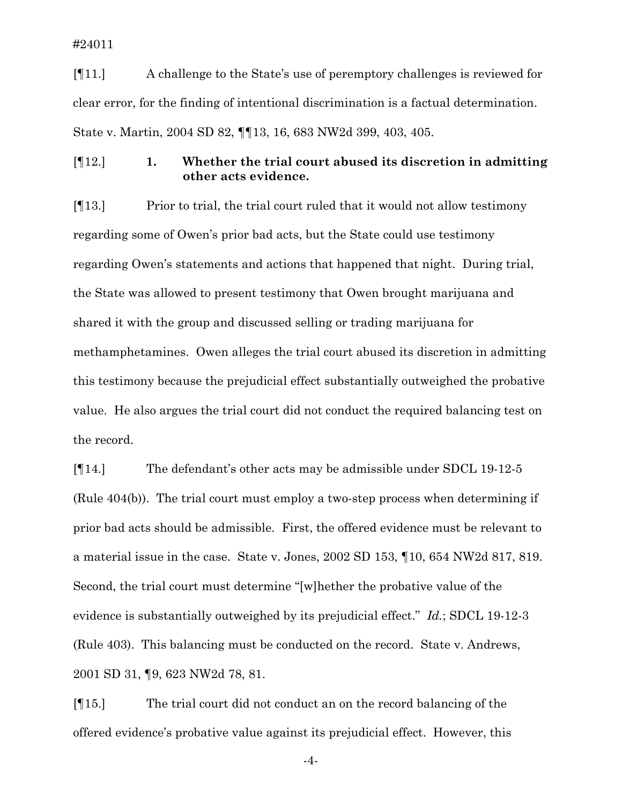[¶11.] A challenge to the State's use of peremptory challenges is reviewed for clear error, for the finding of intentional discrimination is a factual determination. State v. Martin, 2004 SD 82, ¶¶13, 16, 683 NW2d 399, 403, 405.

[¶12.] **1. Whether the trial court abused its discretion in admitting other acts evidence.** 

[¶13.] Prior to trial, the trial court ruled that it would not allow testimony regarding some of Owen's prior bad acts, but the State could use testimony regarding Owen's statements and actions that happened that night. During trial, the State was allowed to present testimony that Owen brought marijuana and shared it with the group and discussed selling or trading marijuana for methamphetamines. Owen alleges the trial court abused its discretion in admitting this testimony because the prejudicial effect substantially outweighed the probative value. He also argues the trial court did not conduct the required balancing test on the record.

[¶14.] The defendant's other acts may be admissible under SDCL 19-12-5 (Rule 404(b)). The trial court must employ a two-step process when determining if prior bad acts should be admissible. First, the offered evidence must be relevant to a material issue in the case. State v. Jones, 2002 SD 153, ¶10, 654 NW2d 817, 819. Second, the trial court must determine "[w]hether the probative value of the evidence is substantially outweighed by its prejudicial effect." *Id.*; SDCL 19-12-3 (Rule 403). This balancing must be conducted on the record. State v. Andrews, 2001 SD 31, ¶9, 623 NW2d 78, 81.

[¶15.] The trial court did not conduct an on the record balancing of the offered evidence's probative value against its prejudicial effect. However, this

-4-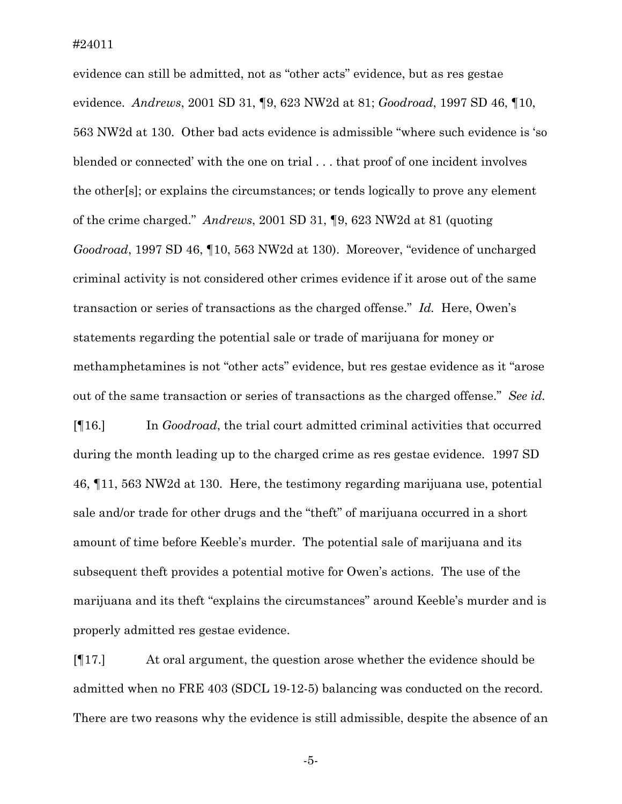evidence can still be admitted, not as "other acts" evidence, but as res gestae evidence. *Andrews*, 2001 SD 31, ¶9, 623 NW2d at 81; *Goodroad*, 1997 SD 46, ¶10, 563 NW2d at 130. Other bad acts evidence is admissible "where such evidence is 'so blended or connected' with the one on trial . . . that proof of one incident involves the other[s]; or explains the circumstances; or tends logically to prove any element of the crime charged." *Andrews*, 2001 SD 31, ¶9, 623 NW2d at 81 (quoting *Goodroad*, 1997 SD 46, ¶10, 563 NW2d at 130). Moreover, "evidence of uncharged criminal activity is not considered other crimes evidence if it arose out of the same transaction or series of transactions as the charged offense." *Id.* Here, Owen's statements regarding the potential sale or trade of marijuana for money or methamphetamines is not "other acts" evidence, but res gestae evidence as it "arose out of the same transaction or series of transactions as the charged offense." *See id.*  [¶16.] In *Goodroad*, the trial court admitted criminal activities that occurred during the month leading up to the charged crime as res gestae evidence. 1997 SD 46, ¶11, 563 NW2d at 130. Here, the testimony regarding marijuana use, potential sale and/or trade for other drugs and the "theft" of marijuana occurred in a short amount of time before Keeble's murder. The potential sale of marijuana and its subsequent theft provides a potential motive for Owen's actions. The use of the marijuana and its theft "explains the circumstances" around Keeble's murder and is

properly admitted res gestae evidence.

[¶17.] At oral argument, the question arose whether the evidence should be admitted when no FRE 403 (SDCL 19-12-5) balancing was conducted on the record. There are two reasons why the evidence is still admissible, despite the absence of an

-5-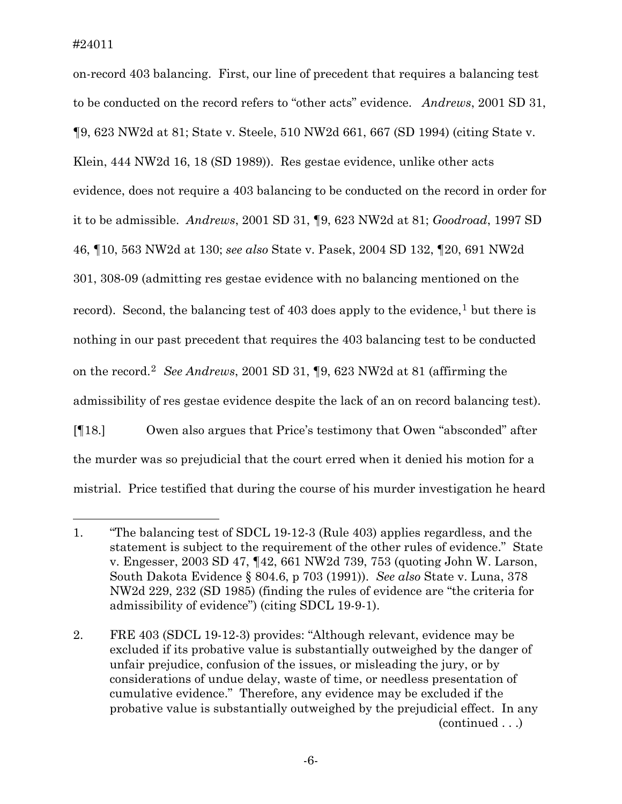$\overline{a}$ 

on-record 403 balancing. First, our line of precedent that requires a balancing test to be conducted on the record refers to "other acts" evidence. *Andrews*, 2001 SD 31, ¶9, 623 NW2d at 81; State v. Steele, 510 NW2d 661, 667 (SD 1994) (citing State v. Klein, 444 NW2d 16, 18 (SD 1989)). Res gestae evidence, unlike other acts evidence, does not require a 403 balancing to be conducted on the record in order for it to be admissible. *Andrews*, 2001 SD 31, ¶9, 623 NW2d at 81; *Goodroad*, 1997 SD 46, ¶10, 563 NW2d at 130; *see also* State v. Pasek, 2004 SD 132, ¶20, 691 NW2d 301, 308-09 (admitting res gestae evidence with no balancing mentioned on the record). Second, the balancing test of  $403$  does apply to the evidence,<sup>[1](#page-6-0)</sup> but there is nothing in our past precedent that requires the 403 balancing test to be conducted on the record.[2](#page-6-1) *See Andrews*, 2001 SD 31, ¶9, 623 NW2d at 81 (affirming the admissibility of res gestae evidence despite the lack of an on record balancing test). [¶18.] Owen also argues that Price's testimony that Owen "absconded" after the murder was so prejudicial that the court erred when it denied his motion for a mistrial. Price testified that during the course of his murder investigation he heard

<span id="page-6-0"></span><sup>1. &</sup>quot;The balancing test of SDCL 19-12-3 (Rule 403) applies regardless, and the statement is subject to the requirement of the other rules of evidence." State v. Engesser, 2003 SD 47, ¶42, 661 NW2d 739, 753 (quoting John W. Larson, South Dakota Evidence § 804.6, p 703 (1991)). *See also* State v. Luna, 378 NW2d 229, 232 (SD 1985) (finding the rules of evidence are "the criteria for admissibility of evidence") (citing SDCL 19-9-1).

<span id="page-6-1"></span><sup>2.</sup> FRE 403 (SDCL 19-12-3) provides: "Although relevant, evidence may be excluded if its probative value is substantially outweighed by the danger of unfair prejudice, confusion of the issues, or misleading the jury, or by considerations of undue delay, waste of time, or needless presentation of cumulative evidence." Therefore, any evidence may be excluded if the probative value is substantially outweighed by the prejudicial effect. In any (continued . . .)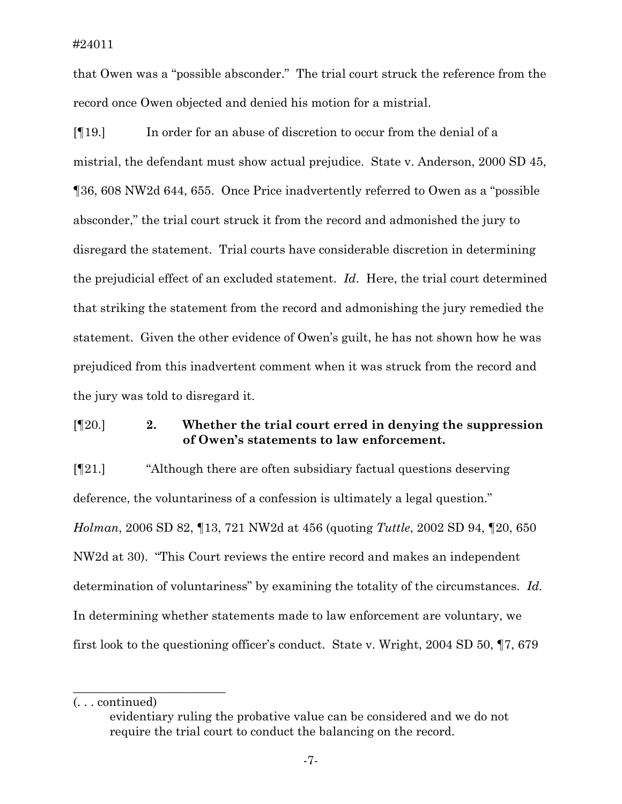that Owen was a "possible absconder." The trial court struck the reference from the record once Owen objected and denied his motion for a mistrial.

[¶19.] In order for an abuse of discretion to occur from the denial of a mistrial, the defendant must show actual prejudice. State v. Anderson, 2000 SD 45, ¶36, 608 NW2d 644, 655. Once Price inadvertently referred to Owen as a "possible absconder," the trial court struck it from the record and admonished the jury to disregard the statement. Trial courts have considerable discretion in determining the prejudicial effect of an excluded statement. *Id*. Here, the trial court determined that striking the statement from the record and admonishing the jury remedied the statement. Given the other evidence of Owen's guilt, he has not shown how he was prejudiced from this inadvertent comment when it was struck from the record and the jury was told to disregard it.

## [¶20.] **2. Whether the trial court erred in denying the suppression of Owen's statements to law enforcement.**

[¶21.] "Although there are often subsidiary factual questions deserving deference, the voluntariness of a confession is ultimately a legal question." *Holman*, 2006 SD 82, ¶13, 721 NW2d at 456 (quoting *Tuttle*, 2002 SD 94, ¶20, 650 NW2d at 30). "This Court reviews the entire record and makes an independent determination of voluntariness" by examining the totality of the circumstances. *Id.* In determining whether statements made to law enforcement are voluntary, we first look to the questioning officer's conduct. State v. Wright, 2004 SD 50, ¶7, 679

\_\_\_\_\_\_\_\_\_\_\_\_\_\_\_\_\_\_\_\_\_\_\_\_\_

<sup>(. . .</sup> continued)

evidentiary ruling the probative value can be considered and we do not require the trial court to conduct the balancing on the record.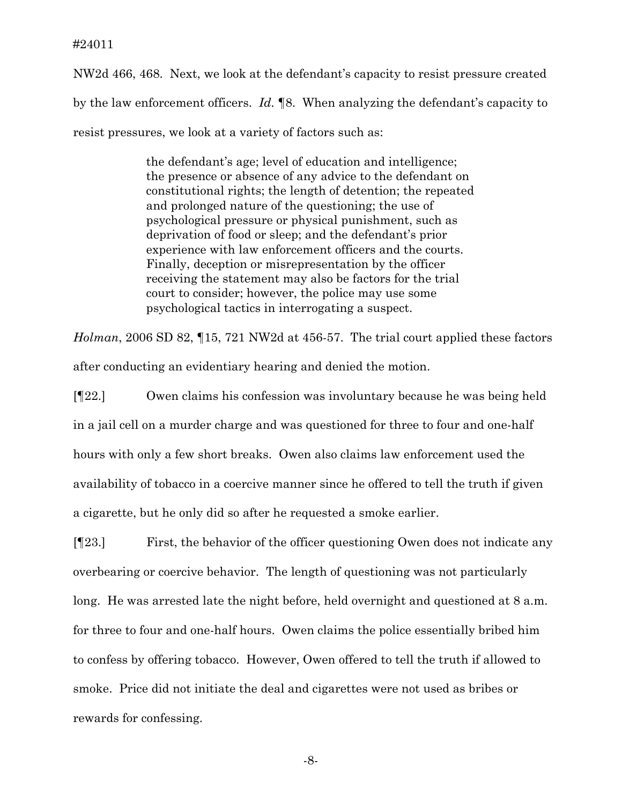NW2d 466, 468. Next, we look at the defendant's capacity to resist pressure created by the law enforcement officers. *Id.* ¶8. When analyzing the defendant's capacity to resist pressures, we look at a variety of factors such as:

> the defendant's age; level of education and intelligence; the presence or absence of any advice to the defendant on constitutional rights; the length of detention; the repeated and prolonged nature of the questioning; the use of psychological pressure or physical punishment, such as deprivation of food or sleep; and the defendant's prior experience with law enforcement officers and the courts. Finally, deception or misrepresentation by the officer receiving the statement may also be factors for the trial court to consider; however, the police may use some psychological tactics in interrogating a suspect.

*Holman*, 2006 SD 82, ¶15, 721 NW2d at 456-57. The trial court applied these factors after conducting an evidentiary hearing and denied the motion.

[¶22.] Owen claims his confession was involuntary because he was being held in a jail cell on a murder charge and was questioned for three to four and one-half hours with only a few short breaks. Owen also claims law enforcement used the availability of tobacco in a coercive manner since he offered to tell the truth if given a cigarette, but he only did so after he requested a smoke earlier.

[¶23.] First, the behavior of the officer questioning Owen does not indicate any overbearing or coercive behavior. The length of questioning was not particularly long. He was arrested late the night before, held overnight and questioned at 8 a.m. for three to four and one-half hours. Owen claims the police essentially bribed him to confess by offering tobacco. However, Owen offered to tell the truth if allowed to smoke. Price did not initiate the deal and cigarettes were not used as bribes or rewards for confessing.

-8-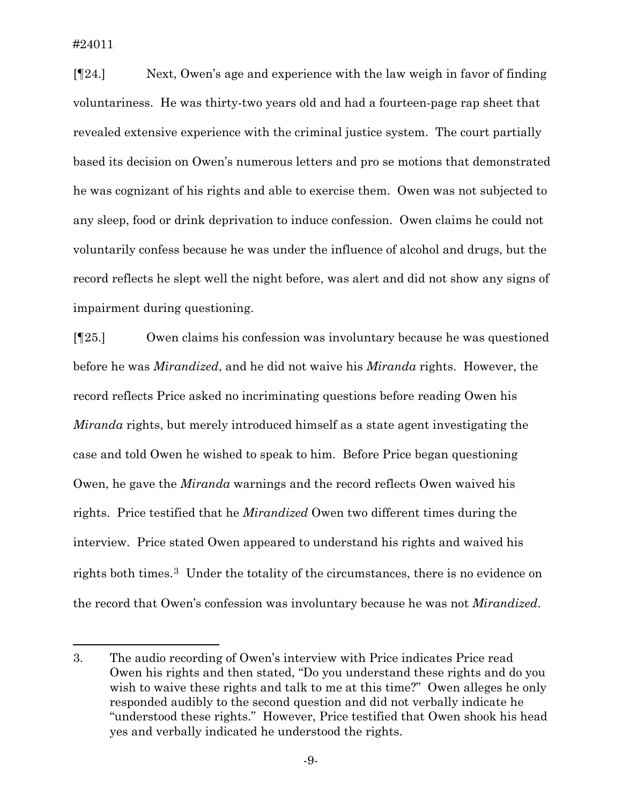$\overline{a}$ 

[¶24.] Next, Owen's age and experience with the law weigh in favor of finding voluntariness. He was thirty-two years old and had a fourteen-page rap sheet that revealed extensive experience with the criminal justice system. The court partially based its decision on Owen's numerous letters and pro se motions that demonstrated he was cognizant of his rights and able to exercise them. Owen was not subjected to any sleep, food or drink deprivation to induce confession. Owen claims he could not voluntarily confess because he was under the influence of alcohol and drugs, but the record reflects he slept well the night before, was alert and did not show any signs of impairment during questioning.

[¶25.] Owen claims his confession was involuntary because he was questioned before he was *Mirandized*, and he did not waive his *Miranda* rights. However, the record reflects Price asked no incriminating questions before reading Owen his *Miranda* rights, but merely introduced himself as a state agent investigating the case and told Owen he wished to speak to him. Before Price began questioning Owen, he gave the *Miranda* warnings and the record reflects Owen waived his rights. Price testified that he *Mirandized* Owen two different times during the interview. Price stated Owen appeared to understand his rights and waived his rights both times.[3](#page-9-0) Under the totality of the circumstances, there is no evidence on the record that Owen's confession was involuntary because he was not *Mirandized*.

<span id="page-9-0"></span><sup>3.</sup> The audio recording of Owen's interview with Price indicates Price read Owen his rights and then stated, "Do you understand these rights and do you wish to waive these rights and talk to me at this time?" Owen alleges he only responded audibly to the second question and did not verbally indicate he "understood these rights." However, Price testified that Owen shook his head yes and verbally indicated he understood the rights.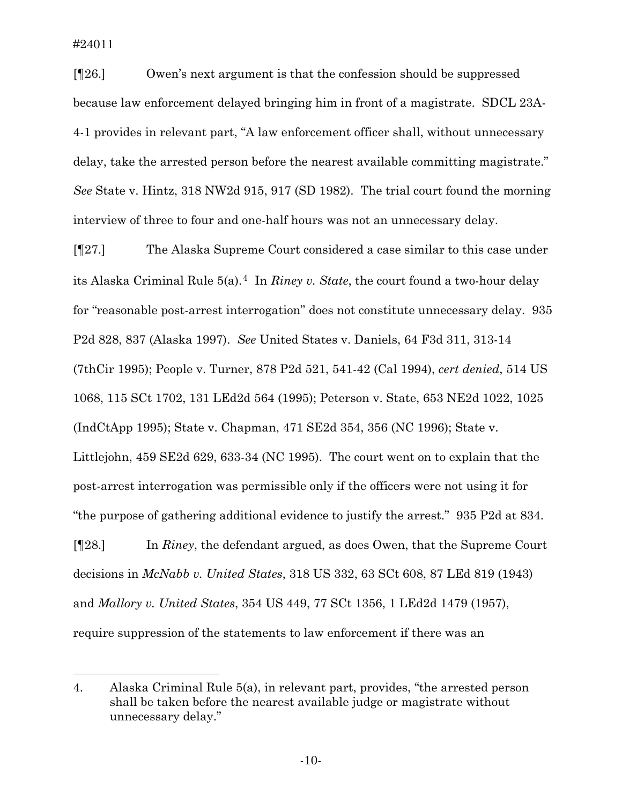l

[¶26.] Owen's next argument is that the confession should be suppressed because law enforcement delayed bringing him in front of a magistrate. SDCL 23A-4-1 provides in relevant part, "A law enforcement officer shall, without unnecessary delay, take the arrested person before the nearest available committing magistrate." *See* State v. Hintz, 318 NW2d 915, 917 (SD 1982). The trial court found the morning interview of three to four and one-half hours was not an unnecessary delay.

[¶27.] The Alaska Supreme Court considered a case similar to this case under its Alaska Criminal Rule 5(a).[4](#page-10-0) In *Riney v. State*, the court found a two-hour delay for "reasonable post-arrest interrogation" does not constitute unnecessary delay. 935 P2d 828, 837 (Alaska 1997). *See* United States v. Daniels, 64 F3d 311, 313-14 (7thCir 1995); People v. Turner, 878 P2d 521, 541-42 (Cal 1994), *cert denied*, 514 US 1068, 115 SCt 1702, 131 LEd2d 564 (1995); Peterson v. State, 653 NE2d 1022, 1025 (IndCtApp 1995); State v. Chapman, 471 SE2d 354, 356 (NC 1996); State v. Littlejohn, 459 SE2d 629, 633-34 (NC 1995). The court went on to explain that the post-arrest interrogation was permissible only if the officers were not using it for "the purpose of gathering additional evidence to justify the arrest." 935 P2d at 834.

[¶28.] In *Riney*, the defendant argued, as does Owen, that the Supreme Court decisions in *McNabb v. United States*, 318 US 332, 63 SCt 608, 87 LEd 819 (1943) and *Mallory v. United States*, 354 US 449, 77 SCt 1356, 1 LEd2d 1479 (1957), require suppression of the statements to law enforcement if there was an

<span id="page-10-0"></span><sup>4.</sup> Alaska Criminal Rule 5(a), in relevant part, provides, "the arrested person shall be taken before the nearest available judge or magistrate without unnecessary delay."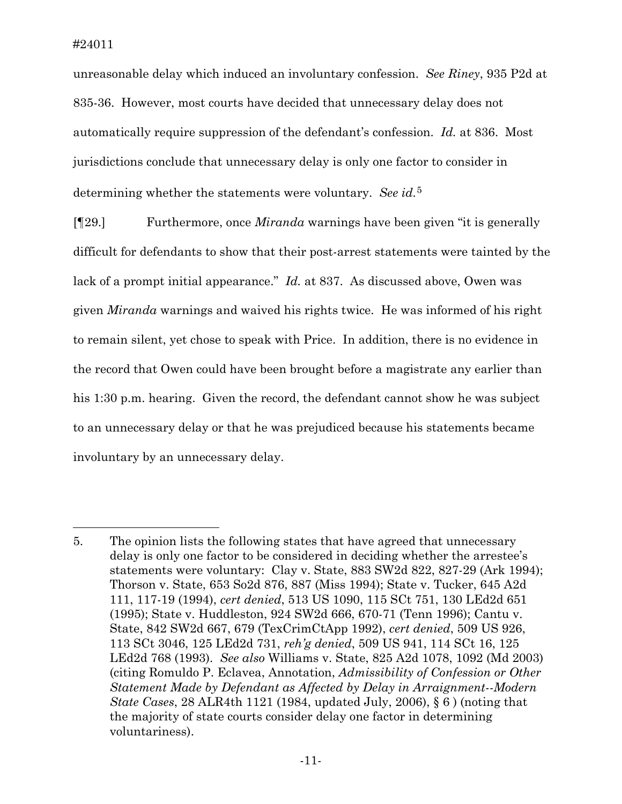$\overline{a}$ 

unreasonable delay which induced an involuntary confession. *See Riney*, 935 P2d at 835-36. However, most courts have decided that unnecessary delay does not automatically require suppression of the defendant's confession. *Id.* at 836. Most jurisdictions conclude that unnecessary delay is only one factor to consider in determining whether the statements were voluntary. *See id.*[5](#page-11-0)

[¶29.] Furthermore, once *Miranda* warnings have been given "it is generally difficult for defendants to show that their post-arrest statements were tainted by the lack of a prompt initial appearance." *Id.* at 837. As discussed above, Owen was given *Miranda* warnings and waived his rights twice. He was informed of his right to remain silent, yet chose to speak with Price. In addition, there is no evidence in the record that Owen could have been brought before a magistrate any earlier than his 1:30 p.m. hearing. Given the record, the defendant cannot show he was subject to an unnecessary delay or that he was prejudiced because his statements became involuntary by an unnecessary delay.

<span id="page-11-0"></span><sup>5.</sup> The opinion lists the following states that have agreed that unnecessary delay is only one factor to be considered in deciding whether the arrestee's statements were voluntary: Clay v. State, 883 SW2d 822, 827-29 (Ark 1994); Thorson v. State, 653 So2d 876, 887 (Miss 1994); State v. Tucker, 645 A2d 111, 117-19 (1994), *cert denied*, 513 US 1090, 115 SCt 751, 130 LEd2d 651 (1995); State v. Huddleston, 924 SW2d 666, 670-71 (Tenn 1996); Cantu v. State, 842 SW2d 667, 679 (TexCrimCtApp 1992), *cert denied*, 509 US 926, 113 SCt 3046, 125 LEd2d 731, *reh'g denied*, 509 US 941, 114 SCt 16, 125 LEd2d 768 (1993). *See also* Williams v. State, 825 A2d 1078, 1092 (Md 2003) (citing Romuldo P. Eclavea, Annotation, *Admissibility of Confession or Other Statement Made by Defendant as Affected by Delay in Arraignment--Modern State Cases*, 28 ALR4th 1121 (1984, updated July, 2006), § 6 ) (noting that the majority of state courts consider delay one factor in determining voluntariness).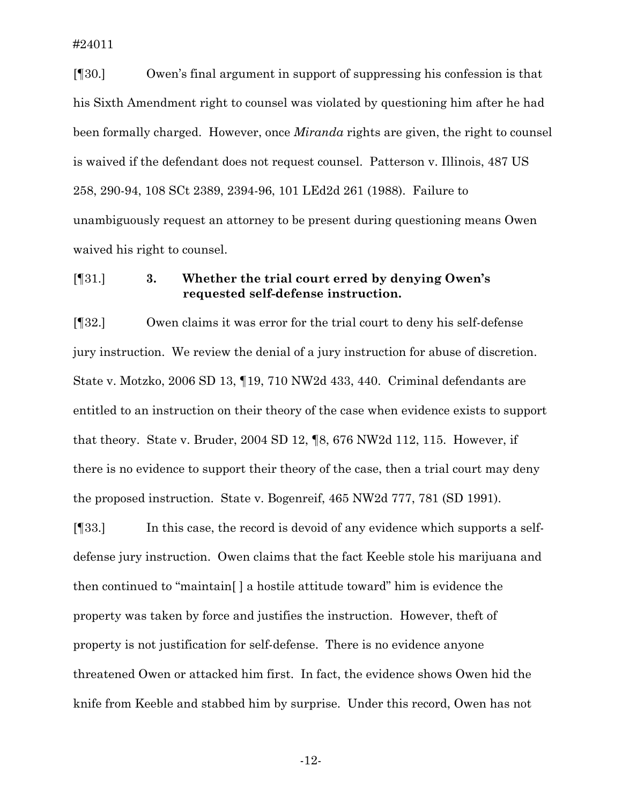[¶30.] Owen's final argument in support of suppressing his confession is that his Sixth Amendment right to counsel was violated by questioning him after he had been formally charged. However, once *Miranda* rights are given, the right to counsel is waived if the defendant does not request counsel. Patterson v. Illinois, 487 US 258, 290-94, 108 SCt 2389, 2394-96, 101 LEd2d 261 (1988). Failure to unambiguously request an attorney to be present during questioning means Owen waived his right to counsel.

## [¶31.] **3. Whether the trial court erred by denying Owen's requested self-defense instruction.**

[¶32.] Owen claims it was error for the trial court to deny his self-defense jury instruction. We review the denial of a jury instruction for abuse of discretion. State v. Motzko, 2006 SD 13, ¶19, 710 NW2d 433, 440. Criminal defendants are entitled to an instruction on their theory of the case when evidence exists to support that theory. State v. Bruder, 2004 SD 12, ¶8, 676 NW2d 112, 115. However, if there is no evidence to support their theory of the case, then a trial court may deny the proposed instruction. State v. Bogenreif, 465 NW2d 777, 781 (SD 1991).

[¶33.] In this case, the record is devoid of any evidence which supports a selfdefense jury instruction. Owen claims that the fact Keeble stole his marijuana and then continued to "maintain[ ] a hostile attitude toward" him is evidence the property was taken by force and justifies the instruction. However, theft of property is not justification for self-defense. There is no evidence anyone threatened Owen or attacked him first. In fact, the evidence shows Owen hid the knife from Keeble and stabbed him by surprise. Under this record, Owen has not

-12-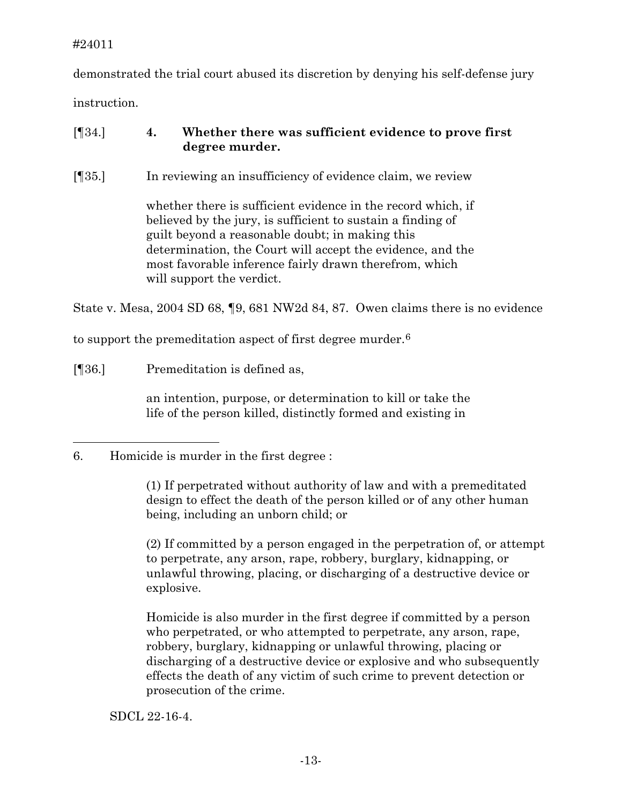demonstrated the trial court abused its discretion by denying his self-defense jury instruction.

# [¶34.] **4. Whether there was sufficient evidence to prove first degree murder.**

[¶35.] In reviewing an insufficiency of evidence claim, we review

whether there is sufficient evidence in the record which, if believed by the jury, is sufficient to sustain a finding of guilt beyond a reasonable doubt; in making this determination, the Court will accept the evidence, and the most favorable inference fairly drawn therefrom, which will support the verdict.

State v. Mesa, 2004 SD 68, ¶9, 681 NW2d 84, 87. Owen claims there is no evidence

to support the premeditation aspect of first degree murder.<sup>[6](#page-13-0)</sup>

[¶36.] Premeditation is defined as,

an intention, purpose, or determination to kill or take the life of the person killed, distinctly formed and existing in

(1) If perpetrated without authority of law and with a premeditated design to effect the death of the person killed or of any other human being, including an unborn child; or

(2) If committed by a person engaged in the perpetration of, or attempt to perpetrate, any arson, rape, robbery, burglary, kidnapping, or unlawful throwing, placing, or discharging of a destructive device or explosive.

Homicide is also murder in the first degree if committed by a person who perpetrated, or who attempted to perpetrate, any arson, rape, robbery, burglary, kidnapping or unlawful throwing, placing or discharging of a destructive device or explosive and who subsequently effects the death of any victim of such crime to prevent detection or prosecution of the crime.

SDCL 22-16-4.

<span id="page-13-0"></span> $\overline{a}$ 6. Homicide is murder in the first degree :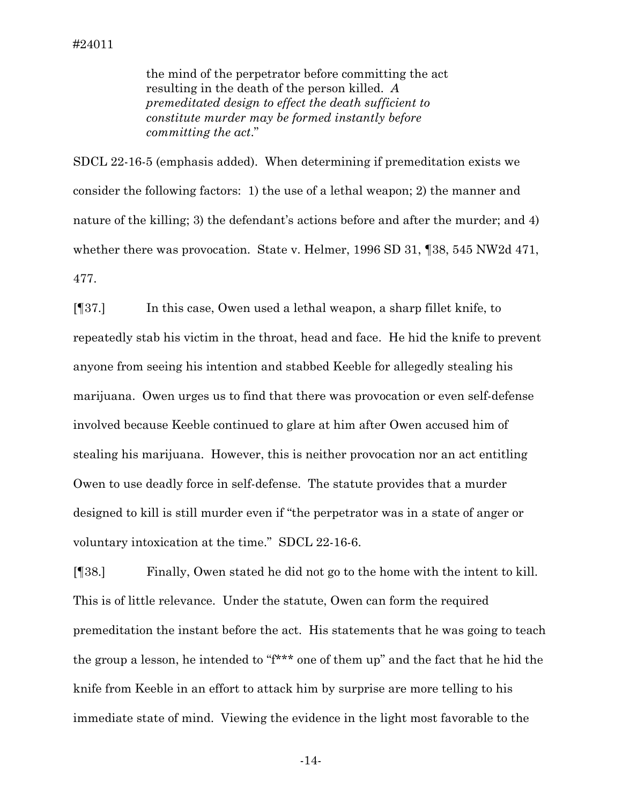the mind of the perpetrator before committing the act resulting in the death of the person killed. *A premeditated design to effect the death sufficient to constitute murder may be formed instantly before committing the act*."

SDCL 22-16-5 (emphasis added). When determining if premeditation exists we consider the following factors: 1) the use of a lethal weapon; 2) the manner and nature of the killing; 3) the defendant's actions before and after the murder; and 4) whether there was provocation. State v. Helmer, 1996 SD 31, 138, 545 NW2d 471, 477.

[¶37.] In this case, Owen used a lethal weapon, a sharp fillet knife, to repeatedly stab his victim in the throat, head and face. He hid the knife to prevent anyone from seeing his intention and stabbed Keeble for allegedly stealing his marijuana. Owen urges us to find that there was provocation or even self-defense involved because Keeble continued to glare at him after Owen accused him of stealing his marijuana. However, this is neither provocation nor an act entitling Owen to use deadly force in self-defense. The statute provides that a murder designed to kill is still murder even if "the perpetrator was in a state of anger or voluntary intoxication at the time." SDCL 22-16-6.

[¶38.] Finally, Owen stated he did not go to the home with the intent to kill. This is of little relevance. Under the statute, Owen can form the required premeditation the instant before the act. His statements that he was going to teach the group a lesson, he intended to "f\*\*\* one of them up" and the fact that he hid the knife from Keeble in an effort to attack him by surprise are more telling to his immediate state of mind. Viewing the evidence in the light most favorable to the

-14-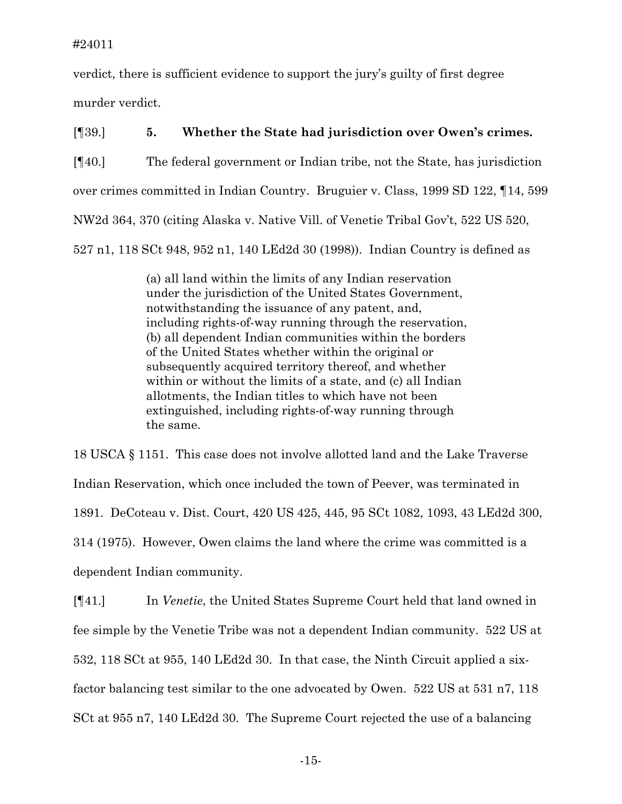verdict, there is sufficient evidence to support the jury's guilty of first degree murder verdict.

[¶39.] **5. Whether the State had jurisdiction over Owen's crimes.**  [¶40.] The federal government or Indian tribe, not the State, has jurisdiction over crimes committed in Indian Country. Bruguier v. Class, 1999 SD 122, ¶14, 599 NW2d 364, 370 (citing Alaska v. Native Vill. of Venetie Tribal Gov't, 522 US 520, 527 n1, 118 SCt 948, 952 n1, 140 LEd2d 30 (1998)). Indian Country is defined as

> (a) all land within the limits of any Indian reservation under the jurisdiction of the United States Government, notwithstanding the issuance of any patent, and, including rights-of-way running through the reservation, (b) all dependent Indian communities within the borders of the United States whether within the original or subsequently acquired territory thereof, and whether within or without the limits of a state, and (c) all Indian allotments, the Indian titles to which have not been extinguished, including rights-of-way running through the same.

18 USCA § 1151. This case does not involve allotted land and the Lake Traverse Indian Reservation, which once included the town of Peever, was terminated in 1891. DeCoteau v. Dist. Court, 420 US 425, 445, 95 SCt 1082, 1093, 43 LEd2d 300, 314 (1975). However, Owen claims the land where the crime was committed is a dependent Indian community.

[¶41.] In *Venetie*, the United States Supreme Court held that land owned in fee simple by the Venetie Tribe was not a dependent Indian community. 522 US at 532, 118 SCt at 955, 140 LEd2d 30. In that case, the Ninth Circuit applied a sixfactor balancing test similar to the one advocated by Owen. 522 US at 531 n7, 118 SCt at 955 n7, 140 LEd2d 30. The Supreme Court rejected the use of a balancing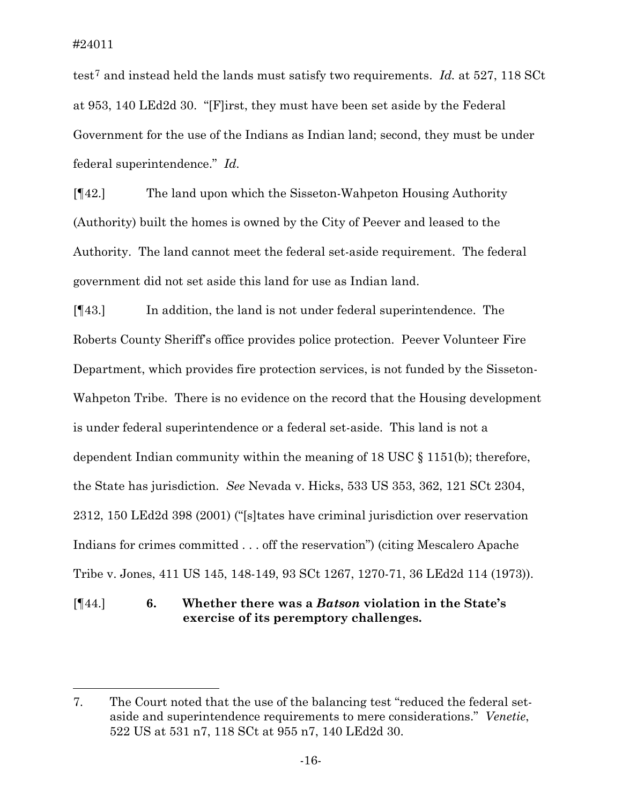$\overline{a}$ 

test[7](#page-16-0) and instead held the lands must satisfy two requirements. *Id.* at 527, 118 SCt at 953, 140 LEd2d 30. "[F]irst, they must have been set aside by the Federal Government for the use of the Indians as Indian land; second, they must be under federal superintendence." *Id.* 

[¶42.] The land upon which the Sisseton-Wahpeton Housing Authority (Authority) built the homes is owned by the City of Peever and leased to the Authority. The land cannot meet the federal set-aside requirement. The federal government did not set aside this land for use as Indian land.

[¶43.] In addition, the land is not under federal superintendence. The Roberts County Sheriff's office provides police protection. Peever Volunteer Fire Department, which provides fire protection services, is not funded by the Sisseton-Wahpeton Tribe. There is no evidence on the record that the Housing development is under federal superintendence or a federal set-aside. This land is not a dependent Indian community within the meaning of 18 USC § 1151(b); therefore, the State has jurisdiction. *See* Nevada v. Hicks, 533 US 353, 362, 121 SCt 2304, 2312, 150 LEd2d 398 (2001) ("[s]tates have criminal jurisdiction over reservation Indians for crimes committed . . . off the reservation") (citing Mescalero Apache Tribe v. Jones, 411 US 145, 148-149, 93 SCt 1267, 1270-71, 36 LEd2d 114 (1973)).

[¶44.] **6. Whether there was a** *Batson* **violation in the State's exercise of its peremptory challenges.** 

<span id="page-16-0"></span><sup>7.</sup> The Court noted that the use of the balancing test "reduced the federal setaside and superintendence requirements to mere considerations." *Venetie*, 522 US at 531 n7, 118 SCt at 955 n7, 140 LEd2d 30.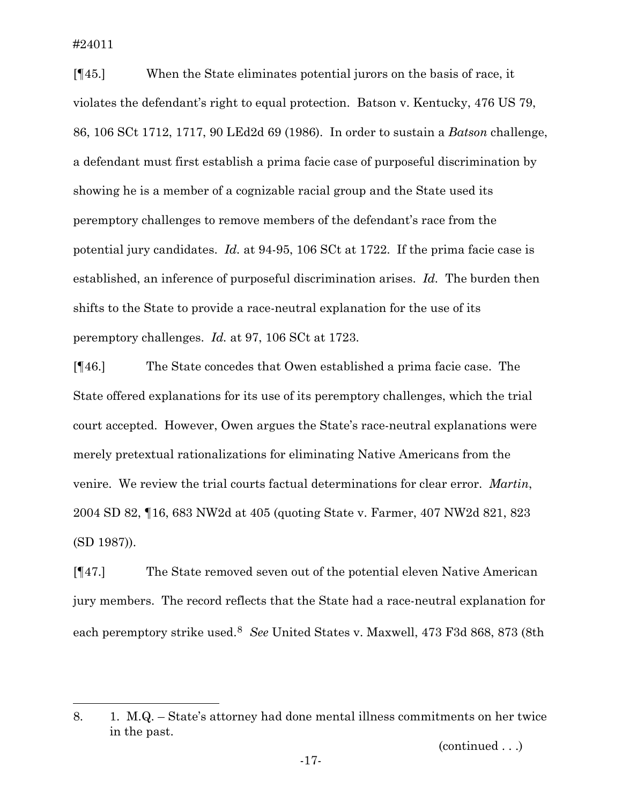l

[¶45.] When the State eliminates potential jurors on the basis of race, it violates the defendant's right to equal protection. Batson v. Kentucky, 476 US 79, 86, 106 SCt 1712, 1717, 90 LEd2d 69 (1986). In order to sustain a *Batson* challenge, a defendant must first establish a prima facie case of purposeful discrimination by showing he is a member of a cognizable racial group and the State used its peremptory challenges to remove members of the defendant's race from the potential jury candidates. *Id.* at 94-95, 106 SCt at 1722. If the prima facie case is established, an inference of purposeful discrimination arises. *Id.* The burden then shifts to the State to provide a race-neutral explanation for the use of its peremptory challenges. *Id.* at 97, 106 SCt at 1723.

[¶46.] The State concedes that Owen established a prima facie case. The State offered explanations for its use of its peremptory challenges, which the trial court accepted. However, Owen argues the State's race-neutral explanations were merely pretextual rationalizations for eliminating Native Americans from the venire. We review the trial courts factual determinations for clear error. *Martin*, 2004 SD 82, ¶16, 683 NW2d at 405 (quoting State v. Farmer, 407 NW2d 821, 823 (SD 1987)).

[¶47.] The State removed seven out of the potential eleven Native American jury members. The record reflects that the State had a race-neutral explanation for each peremptory strike used.[8](#page-17-0) *See* United States v. Maxwell, 473 F3d 868, 873 (8th

(continued . . .)

<span id="page-17-0"></span><sup>8. 1.</sup> M.Q. – State's attorney had done mental illness commitments on her twice in the past.